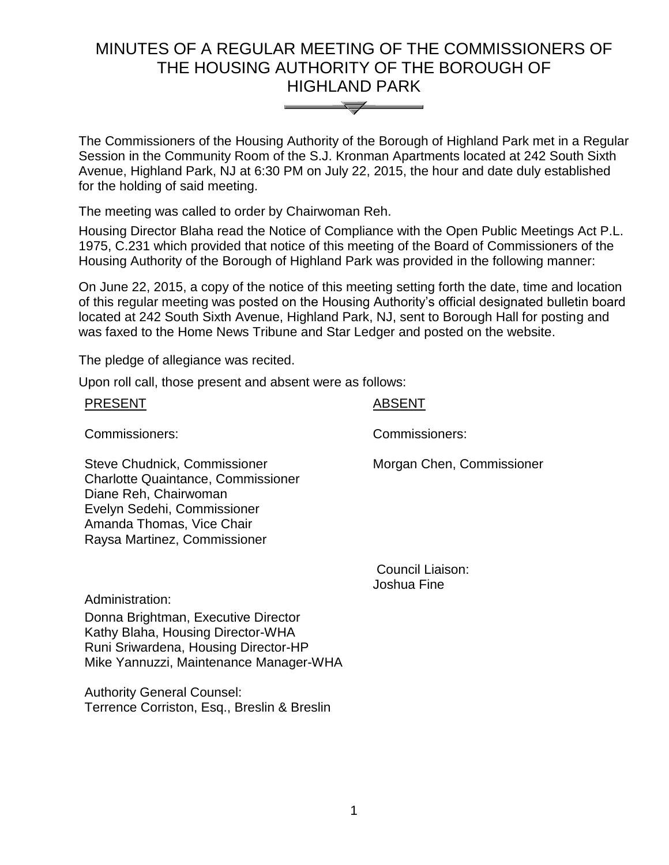# MINUTES OF A REGULAR MEETING OF THE COMMISSIONERS OF THE HOUSING AUTHORITY OF THE BOROUGH OF HIGHLAND PARK



The Commissioners of the Housing Authority of the Borough of Highland Park met in a Regular Session in the Community Room of the S.J. Kronman Apartments located at 242 South Sixth Avenue, Highland Park, NJ at 6:30 PM on July 22, 2015, the hour and date duly established for the holding of said meeting.

The meeting was called to order by Chairwoman Reh.

Housing Director Blaha read the Notice of Compliance with the Open Public Meetings Act P.L. 1975, C.231 which provided that notice of this meeting of the Board of Commissioners of the Housing Authority of the Borough of Highland Park was provided in the following manner:

On June 22, 2015, a copy of the notice of this meeting setting forth the date, time and location of this regular meeting was posted on the Housing Authority's official designated bulletin board located at 242 South Sixth Avenue, Highland Park, NJ, sent to Borough Hall for posting and was faxed to the Home News Tribune and Star Ledger and posted on the website.

The pledge of allegiance was recited.

Upon roll call, those present and absent were as follows:

| <b>PRESENT</b>                                                                                                                                                                                 | <b>ABSENT</b>             |
|------------------------------------------------------------------------------------------------------------------------------------------------------------------------------------------------|---------------------------|
| Commissioners:                                                                                                                                                                                 | Commissioners:            |
| Steve Chudnick, Commissioner<br><b>Charlotte Quaintance, Commissioner</b><br>Diane Reh, Chairwoman<br>Evelyn Sedehi, Commissioner<br>Amanda Thomas, Vice Chair<br>Raysa Martinez, Commissioner | Morgan Chen, Commissioner |

Council Liaison: Joshua Fine

Administration:

Donna Brightman, Executive Director Kathy Blaha, Housing Director-WHA Runi Sriwardena, Housing Director-HP Mike Yannuzzi, Maintenance Manager-WHA

Authority General Counsel: Terrence Corriston, Esq., Breslin & Breslin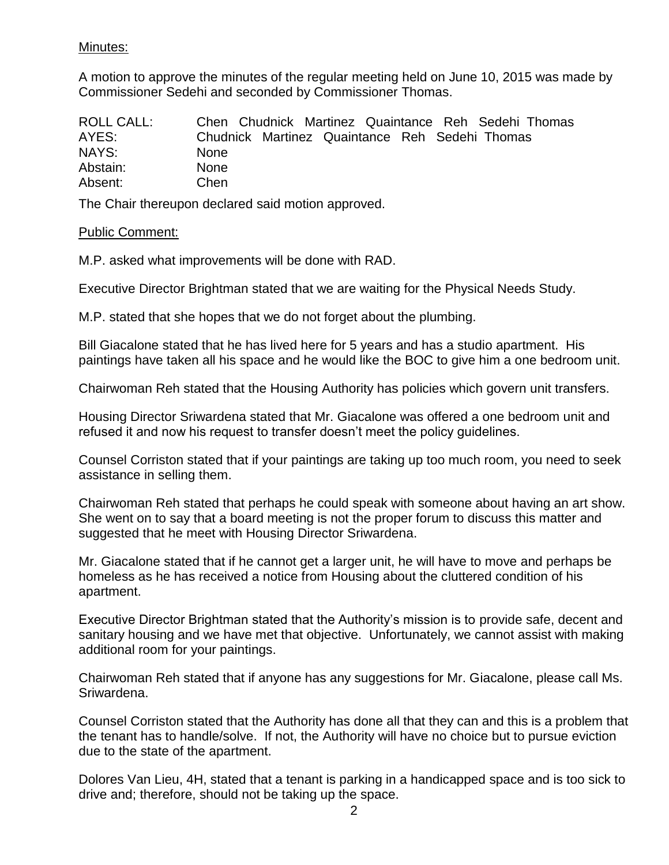## Minutes:

A motion to approve the minutes of the regular meeting held on June 10, 2015 was made by Commissioner Sedehi and seconded by Commissioner Thomas.

| <b>ROLL CALL:</b> | Chen Chudnick Martinez Quaintance Reh Sedehi Thomas |
|-------------------|-----------------------------------------------------|
| AYES:             | Chudnick Martinez Quaintance Reh Sedehi Thomas      |
| NAYS:             | <b>None</b>                                         |
| Abstain:          | <b>None</b>                                         |
| Absent:           | Chen                                                |

The Chair thereupon declared said motion approved.

### Public Comment:

M.P. asked what improvements will be done with RAD.

Executive Director Brightman stated that we are waiting for the Physical Needs Study.

M.P. stated that she hopes that we do not forget about the plumbing.

Bill Giacalone stated that he has lived here for 5 years and has a studio apartment. His paintings have taken all his space and he would like the BOC to give him a one bedroom unit.

Chairwoman Reh stated that the Housing Authority has policies which govern unit transfers.

Housing Director Sriwardena stated that Mr. Giacalone was offered a one bedroom unit and refused it and now his request to transfer doesn't meet the policy guidelines.

Counsel Corriston stated that if your paintings are taking up too much room, you need to seek assistance in selling them.

Chairwoman Reh stated that perhaps he could speak with someone about having an art show. She went on to say that a board meeting is not the proper forum to discuss this matter and suggested that he meet with Housing Director Sriwardena.

Mr. Giacalone stated that if he cannot get a larger unit, he will have to move and perhaps be homeless as he has received a notice from Housing about the cluttered condition of his apartment.

Executive Director Brightman stated that the Authority's mission is to provide safe, decent and sanitary housing and we have met that objective. Unfortunately, we cannot assist with making additional room for your paintings.

Chairwoman Reh stated that if anyone has any suggestions for Mr. Giacalone, please call Ms. Sriwardena.

Counsel Corriston stated that the Authority has done all that they can and this is a problem that the tenant has to handle/solve. If not, the Authority will have no choice but to pursue eviction due to the state of the apartment.

Dolores Van Lieu, 4H, stated that a tenant is parking in a handicapped space and is too sick to drive and; therefore, should not be taking up the space.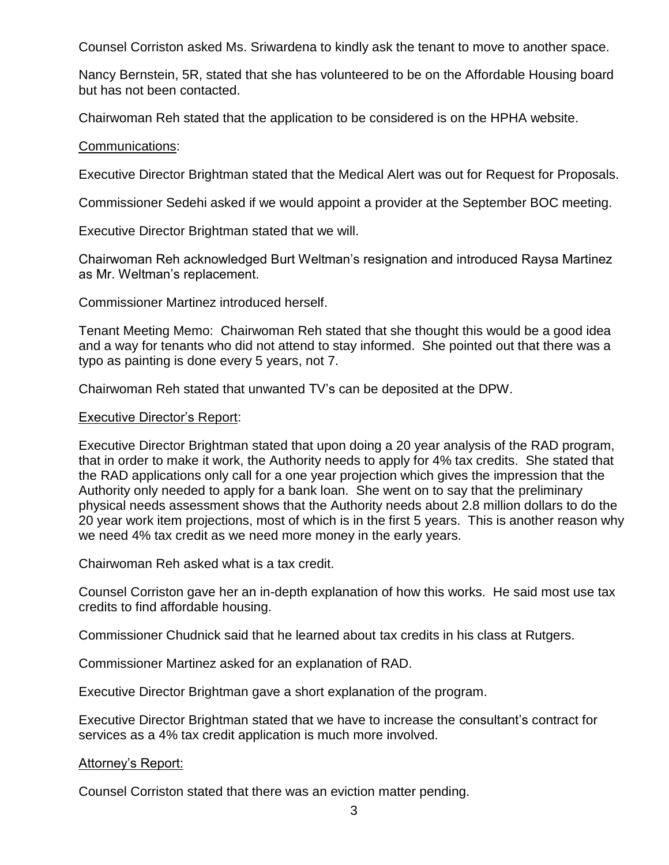Counsel Corriston asked Ms. Sriwardena to kindly ask the tenant to move to another space.

Nancy Bernstein, 5R, stated that she has volunteered to be on the Affordable Housing board but has not been contacted.

Chairwoman Reh stated that the application to be considered is on the HPHA website.

#### Communications:

Executive Director Brightman stated that the Medical Alert was out for Request for Proposals.

Commissioner Sedehi asked if we would appoint a provider at the September BOC meeting.

Executive Director Brightman stated that we will.

Chairwoman Reh acknowledged Burt Weltman's resignation and introduced Raysa Martinez as Mr. Weltman's replacement.

Commissioner Martinez introduced herself.

Tenant Meeting Memo: Chairwoman Reh stated that she thought this would be a good idea and a way for tenants who did not attend to stay informed. She pointed out that there was a typo as painting is done every 5 years, not 7.

Chairwoman Reh stated that unwanted TV's can be deposited at the DPW.

### Executive Director's Report:

Executive Director Brightman stated that upon doing a 20 year analysis of the RAD program, that in order to make it work, the Authority needs to apply for 4% tax credits. She stated that the RAD applications only call for a one year projection which gives the impression that the Authority only needed to apply for a bank loan. She went on to say that the preliminary physical needs assessment shows that the Authority needs about 2.8 million dollars to do the 20 year work item projections, most of which is in the first 5 years. This is another reason why we need 4% tax credit as we need more money in the early years.

Chairwoman Reh asked what is a tax credit.

Counsel Corriston gave her an in-depth explanation of how this works. He said most use tax credits to find affordable housing.

Commissioner Chudnick said that he learned about tax credits in his class at Rutgers.

Commissioner Martinez asked for an explanation of RAD.

Executive Director Brightman gave a short explanation of the program.

Executive Director Brightman stated that we have to increase the consultant's contract for services as a 4% tax credit application is much more involved.

### Attorney's Report:

Counsel Corriston stated that there was an eviction matter pending.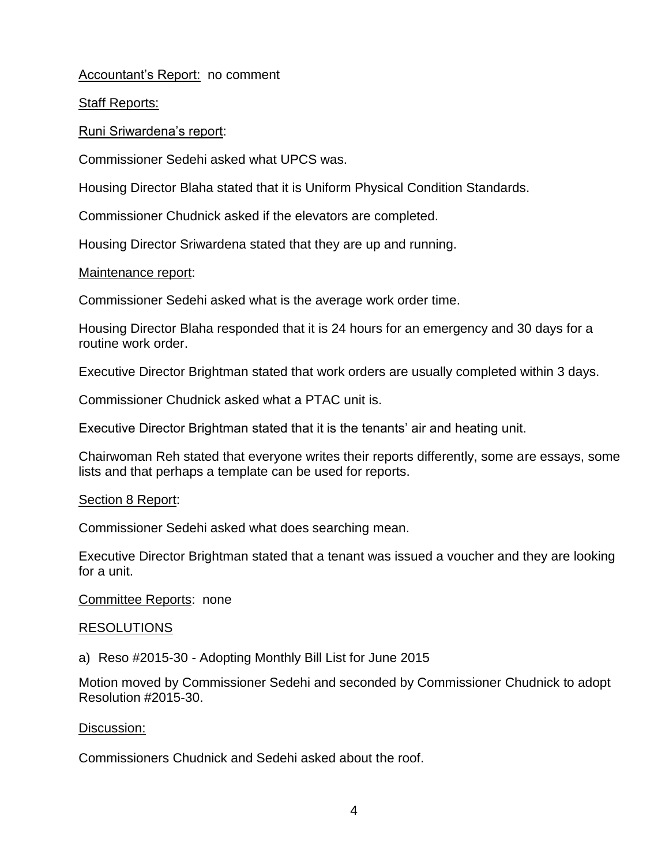Accountant's Report: no comment

Staff Reports:

Runi Sriwardena's report:

Commissioner Sedehi asked what UPCS was.

Housing Director Blaha stated that it is Uniform Physical Condition Standards.

Commissioner Chudnick asked if the elevators are completed.

Housing Director Sriwardena stated that they are up and running.

### Maintenance report:

Commissioner Sedehi asked what is the average work order time.

Housing Director Blaha responded that it is 24 hours for an emergency and 30 days for a routine work order.

Executive Director Brightman stated that work orders are usually completed within 3 days.

Commissioner Chudnick asked what a PTAC unit is.

Executive Director Brightman stated that it is the tenants' air and heating unit.

Chairwoman Reh stated that everyone writes their reports differently, some are essays, some lists and that perhaps a template can be used for reports.

### Section 8 Report:

Commissioner Sedehi asked what does searching mean.

Executive Director Brightman stated that a tenant was issued a voucher and they are looking for a unit.

Committee Reports: none

### RESOLUTIONS

a) Reso #2015-30 - Adopting Monthly Bill List for June 2015

Motion moved by Commissioner Sedehi and seconded by Commissioner Chudnick to adopt Resolution #2015-30.

### Discussion:

Commissioners Chudnick and Sedehi asked about the roof.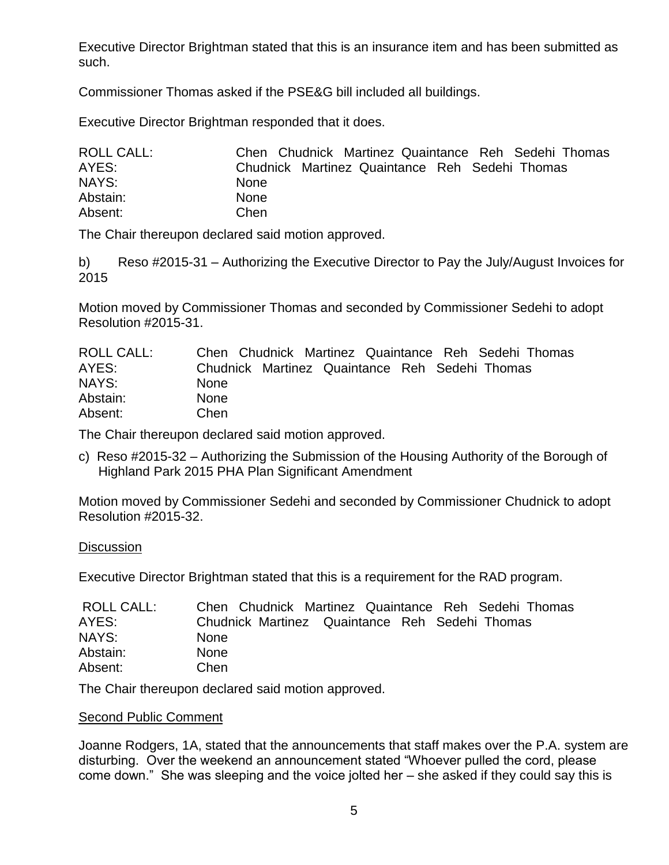Executive Director Brightman stated that this is an insurance item and has been submitted as such.

Commissioner Thomas asked if the PSE&G bill included all buildings.

Executive Director Brightman responded that it does.

| <b>ROLL CALL:</b> | Chen Chudnick Martinez Quaintance Reh Sedehi Thomas |
|-------------------|-----------------------------------------------------|
| AYES:             | Chudnick Martinez Quaintance Reh Sedehi Thomas      |
| NAYS:             | <b>None</b>                                         |
| Abstain:          | <b>None</b>                                         |
| Absent:           | Chen                                                |

The Chair thereupon declared said motion approved.

b) Reso #2015-31 – Authorizing the Executive Director to Pay the July/August Invoices for 2015

Motion moved by Commissioner Thomas and seconded by Commissioner Sedehi to adopt Resolution #2015-31.

| ROLL CALL: | Chen Chudnick Martinez Quaintance Reh Sedehi Thomas |
|------------|-----------------------------------------------------|
| AYES:      | Chudnick Martinez Quaintance Reh Sedehi Thomas      |
| NAYS:      | <b>None</b>                                         |
| Abstain:   | <b>None</b>                                         |
| Absent:    | Chen                                                |

The Chair thereupon declared said motion approved.

c) Reso #2015-32 – Authorizing the Submission of the Housing Authority of the Borough of Highland Park 2015 PHA Plan Significant Amendment

Motion moved by Commissioner Sedehi and seconded by Commissioner Chudnick to adopt Resolution #2015-32.

## **Discussion**

Executive Director Brightman stated that this is a requirement for the RAD program.

| ROLL CALL: | Chen Chudnick Martinez Quaintance Reh Sedehi Thomas |
|------------|-----------------------------------------------------|
| AYES:      | Chudnick Martinez Quaintance Reh Sedehi Thomas      |
| NAYS:      | <b>None</b>                                         |
| Abstain:   | <b>None</b>                                         |
| Absent:    | Chen                                                |

The Chair thereupon declared said motion approved.

## Second Public Comment

Joanne Rodgers, 1A, stated that the announcements that staff makes over the P.A. system are disturbing. Over the weekend an announcement stated "Whoever pulled the cord, please come down." She was sleeping and the voice jolted her – she asked if they could say this is